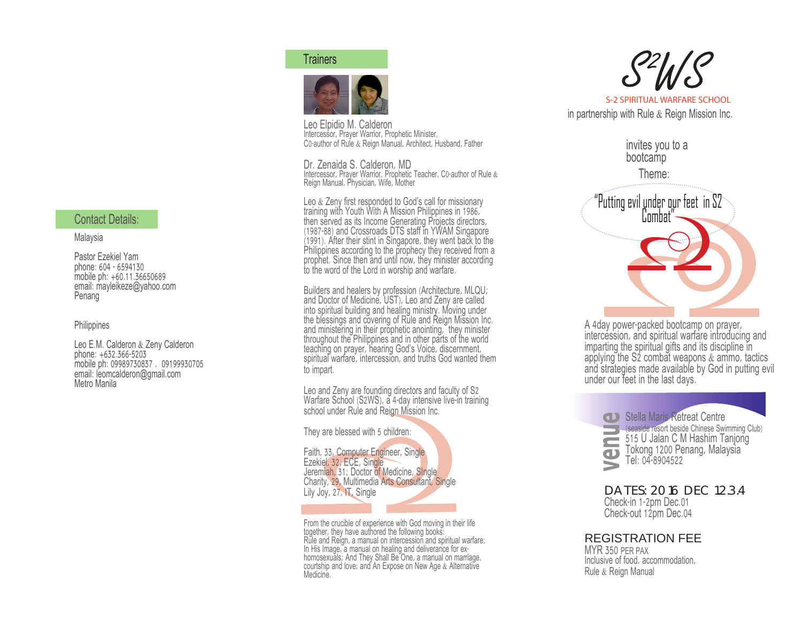### **Trainers**



Leo Elpidio M. Calderon Intercessor, Prayer Warrior, Prophetic Minister, C0-author of Rule & Reign Manual, Architect, Husband, Father

Dr. Zenaida S. Calderon, MD Intercessor, Prayer Warrior, Prophetic Teacher, C0-author of Rule & Reign Manual, Physician, Wife, Mother

Leo & Zeny first responded to God's call for missionary training with Youth With A Mission Philippines in 1986, then served as its Income Generating Projects directors, (1987-88) and Crossroads DTS staff in YWAM Singapore (1991). After their stint in Singapore, they went back to the Philippines according to the prophecy they received from a prophet. Since then and until now, they minister according to the word of the Lord in worship and warfare.

Builders and healers by profession (Architecture, MLQU; and Doctor of Medicine, UST), Leo and Zeny are called into spiritual building and healing ministry. Moving under the blessings and covering of Rule and Reign Mission Inc. and ministering in their prophetic anointing, they minister throughout the Philippines and in other parts of the world teaching on prayer, hearing God's Voice, discernment, spiritual warfare, intercession, and truths God wanted them to impart.

Leo and Zeny are founding directors and faculty of S2 Warfare School (S2WS), a 4-day intensive live-in training school under Rule and Reign Mission Inc.

They are blessed with 5 children:

Faith, 33, Computer Engineer, Single Ezekiel, 32, ECE, Single Jeremiah, 31; Doctor of Medicine, SIngle Charity, 29, Multimedia Arts Consultant, Single Lily Joy, 27, **IT**, Single

From the crucible of experience with God moving in their life together, they have authored the following books: Rule and Reign, a manual on intercession and spiritual warfare; In His Image, a manual on healing and deliverance for exhomosexuals; And They Shall Be One, a manual on marriage, courtship and love; and An Expose on New Age & Alternative Medicine.



invites you to a bootcamp Theme:



A 4day power-packed bootcamp on prayer, intercession, and spiritual warfare introducing and imparting the spiritual gifts and its discipline in applying the S2 combat weapons  $&$  ammo, tactics and strategies made available by God in putting evil under our feet in the last days.



**Subsetside resort beside Chinese Swimming Club)** 515 U Jalan C M Hashim Tanjong Tokong 1200 Penang, Malaysia

DATES: 2016 DEC 1.2.3.4 Check-in 1-2pm Dec.01 Check-out 12pm Dec.04

# REGISTRATION FEE

MYR 350 PER PAX Inclusive of food, accommodation, Rule & Reign Manual

# Contact Details:

#### Malaysia

Pastor Ezekiel Yam phone: 604 - 6594130 mobile ph: +60.11.36650689 email: mayleikeze@yahoo.com Penang

**Philippines** 

Leo E.M. Calderon & Zeny Calderon phone: +632.366-5203 mobile ph: 09989730837 . 09199930705 email: leomcalderon@gmail.com Metro Manila